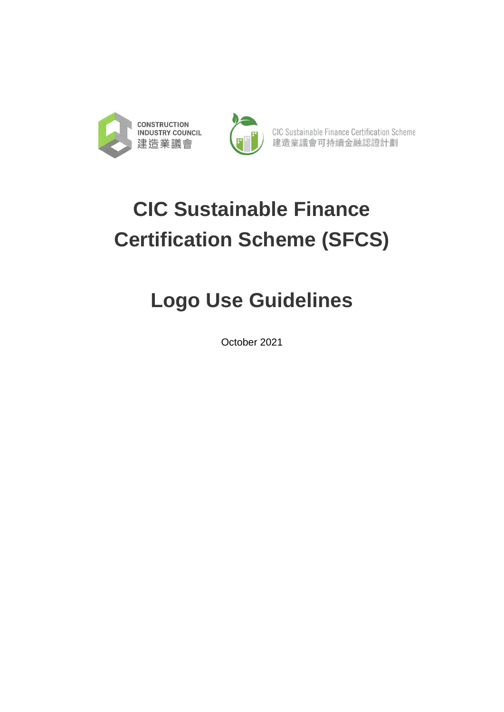



CIC Sustainable Finance Certification Scheme 建造業議會可持續金融認證計劃

# **CIC Sustainable Finance Certification Scheme (SFCS)**

## **Logo Use Guidelines**

October 2021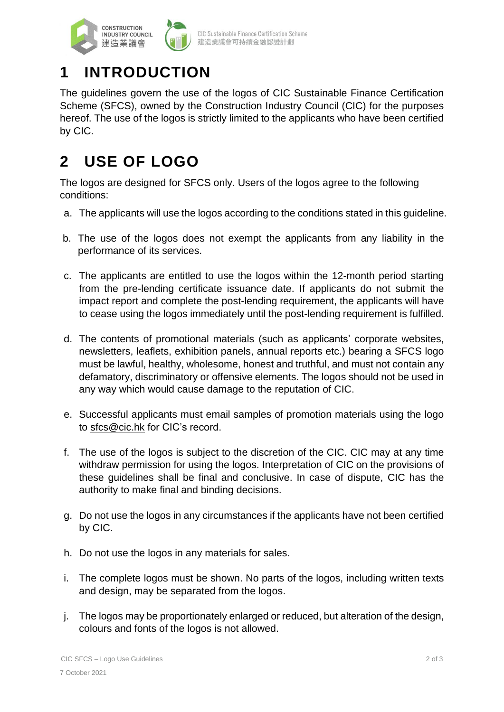

### **1 INTRODUCTION**

The guidelines govern the use of the logos of CIC Sustainable Finance Certification Scheme (SFCS), owned by the Construction Industry Council (CIC) for the purposes hereof. The use of the logos is strictly limited to the applicants who have been certified by CIC.

#### **2 USE OF LOGO**

The logos are designed for SFCS only. Users of the logos agree to the following conditions:

- a. The applicants will use the logos according to the conditions stated in this guideline.
- b. The use of the logos does not exempt the applicants from any liability in the performance of its services.
- c. The applicants are entitled to use the logos within the 12-month period starting from the pre-lending certificate issuance date. If applicants do not submit the impact report and complete the post-lending requirement, the applicants will have to cease using the logos immediately until the post-lending requirement is fulfilled.
- d. The contents of promotional materials (such as applicants' corporate websites, newsletters, leaflets, exhibition panels, annual reports etc.) bearing a SFCS logo must be lawful, healthy, wholesome, honest and truthful, and must not contain any defamatory, discriminatory or offensive elements. The logos should not be used in any way which would cause damage to the reputation of CIC.
- e. Successful applicants must email samples of promotion materials using the logo to [sfcs@cic.hk](mailto:scfs@cic.hk) for CIC's record.
- f. The use of the logos is subject to the discretion of the CIC. CIC may at any time withdraw permission for using the logos. Interpretation of CIC on the provisions of these guidelines shall be final and conclusive. In case of dispute, CIC has the authority to make final and binding decisions.
- g. Do not use the logos in any circumstances if the applicants have not been certified by CIC.
- h. Do not use the logos in any materials for sales.
- i. The complete logos must be shown. No parts of the logos, including written texts and design, may be separated from the logos.
- j. The logos may be proportionately enlarged or reduced, but alteration of the design, colours and fonts of the logos is not allowed.